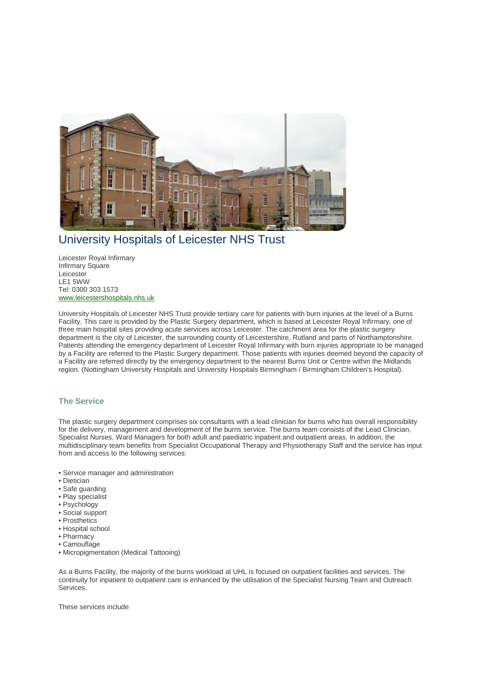

## University Hospitals of Leicester NHS Trust

Leicester Royal Infirmary Infirmary Square Leicester LE1 5WW Tel: 0300 303 1573 www.leicestershospitals.nhs.uk

University Hospitals of Leicester NHS Trust provide tertiary care for patients with burn injuries at the level of a Burns Facility. This care is provided by the Plastic Surgery department, which is based at Leicester Royal Infirmary, one of three main hospital sites providing acute services across Leicester. The catchment area for the plastic surgery department is the city of Leicester, the surrounding county of Leicestershire, Rutland and parts of Northamptonshire. Patients attending the emergency department of Leicester Royal Infirmary with burn injuries appropriate to be managed by a Facility are referred to the Plastic Surgery department. Those patients with injuries deemed beyond the capacity of a Facility are referred directly by the emergency department to the nearest Burns Unit or Centre within the Midlands region. (Nottingham University Hospitals and University Hospitals Birmingham / Birmingham Children's Hospital).

## **The Service**

The plastic surgery department comprises six consultants with a lead clinician for burns who has overall responsibility for the delivery, management and development of the burns service. The burns team consists of the Lead Clinician, Specialist Nurses, Ward Managers for both adult and paediatric inpatient and outpatient areas. In addition, the multidisciplinary team benefits from Specialist Occupational Therapy and Physiotherapy Staff and the service has input from and access to the following services:

- Service manager and administration
- Dietician
- Safe guarding
- Play specialist
- Psychology
- Social support
- Prosthetics
- Hospital school
- Pharmacy
- Camouflage
- Micropigmentation (Medical Tattooing)

As a Burns Facility, the majority of the burns workload at UHL is focused on outpatient facilities and services. The continuity for inpatient to outpatient care is enhanced by the utilisation of the Specialist Nursing Team and Outreach Services.

These services include